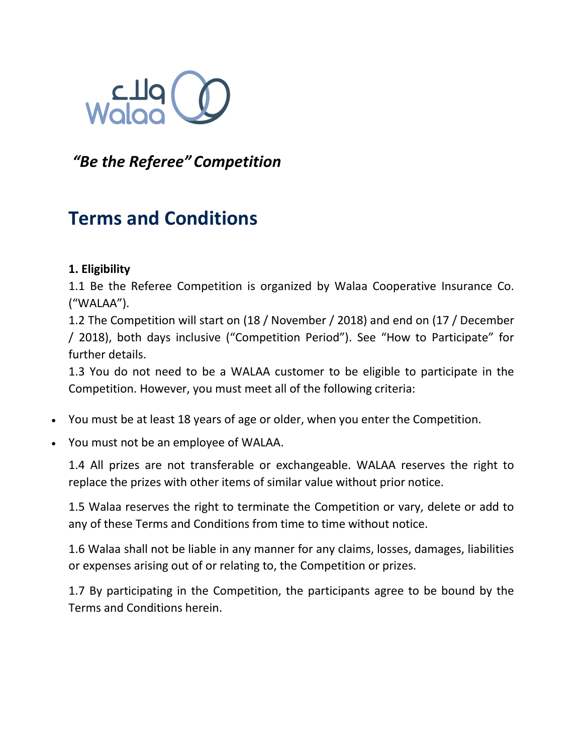

# *"Be the Referee" Competition*

# **Terms and Conditions**

### **1. Eligibility**

1.1 Be the Referee Competition is organized by Walaa Cooperative Insurance Co. ("WALAA").

1.2 The Competition will start on (18 / November / 2018) and end on (17 / December / 2018), both days inclusive ("Competition Period"). See "How to Participate" for further details.

1.3 You do not need to be a WALAA customer to be eligible to participate in the Competition. However, you must meet all of the following criteria:

- You must be at least 18 years of age or older, when you enter the Competition.
- You must not be an employee of WALAA.

1.4 All prizes are not transferable or exchangeable. WALAA reserves the right to replace the prizes with other items of similar value without prior notice.

1.5 Walaa reserves the right to terminate the Competition or vary, delete or add to any of these Terms and Conditions from time to time without notice.

1.6 Walaa shall not be liable in any manner for any claims, losses, damages, liabilities or expenses arising out of or relating to, the Competition or prizes.

1.7 By participating in the Competition, the participants agree to be bound by the Terms and Conditions herein.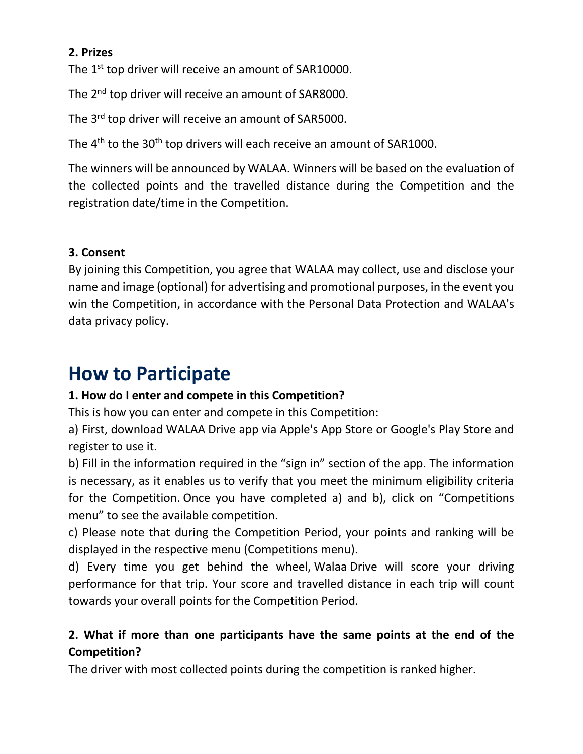### **2. Prizes**

The 1<sup>st</sup> top driver will receive an amount of SAR10000.

The 2<sup>nd</sup> top driver will receive an amount of SAR8000.

The 3<sup>rd</sup> top driver will receive an amount of SAR5000.

The 4<sup>th</sup> to the 30<sup>th</sup> top drivers will each receive an amount of SAR1000.

The winners will be announced by WALAA. Winners will be based on the evaluation of the collected points and the travelled distance during the Competition and the registration date/time in the Competition.

### **3. Consent**

By joining this Competition, you agree that WALAA may collect, use and disclose your name and image (optional) for advertising and promotional purposes, in the event you win the Competition, in accordance with the Personal Data Protection and WALAA's data privacy policy.

# **How to Participate**

### **1. How do I enter and compete in this Competition?**

This is how you can enter and compete in this Competition:

a) First, download WALAA Drive app via Apple's App Store or Google's Play Store and register to use it.

b) Fill in the information required in the "sign in" section of the app. The information is necessary, as it enables us to verify that you meet the minimum eligibility criteria for the Competition. Once you have completed a) and b), click on "Competitions menu" to see the available competition.

c) Please note that during the Competition Period, your points and ranking will be displayed in the respective menu (Competitions menu).

d) Every time you get behind the wheel, Walaa Drive will score your driving performance for that trip. Your score and travelled distance in each trip will count towards your overall points for the Competition Period.

## **2. What if more than one participants have the same points at the end of the Competition?**

The driver with most collected points during the competition is ranked higher.